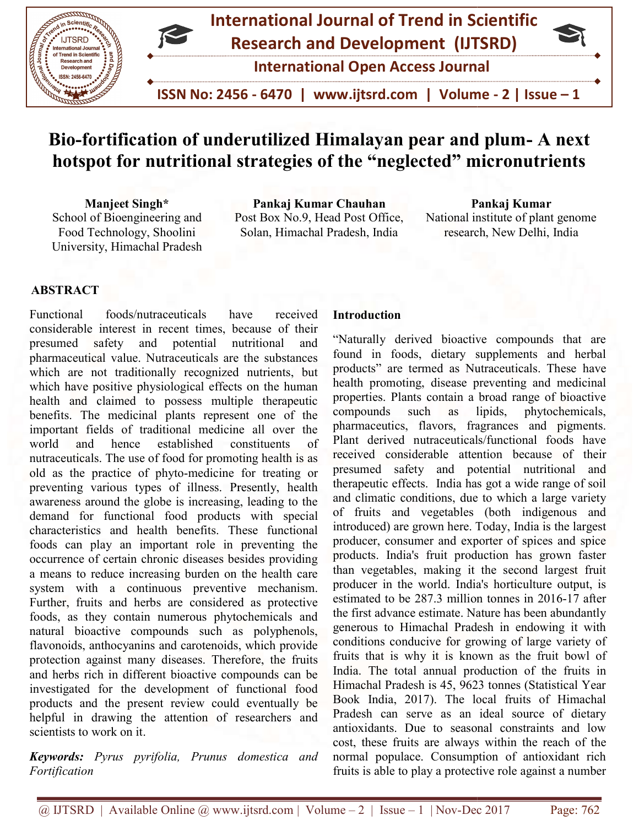

# Bio-fortification of underutilized Himalayan pear and plum- A next<br>hotspot for nutritional strategies of the "neglected" micronutrients hotspot for nutritional strategies of the "neglected" micronutrients

Manjeet Singh\* School of Bioengineering and Food Technology, Shoolini University, Himachal Pradesh Post Box No.9, Head Post Office, Pankaj Kumar Chauhan Solan, Himachal Pradesh, India

Pankaj Kumar National institute of plant genome research, New Delhi, India

# ABSTRACT

Functional foods/nutraceuticals have received Functional foods/nutraceuticals have received<br>considerable interest in recent times, because of their presumed safety and potential nutritional and pharmaceutical value. Nutraceuticals are the substances which are not traditionally recognized nutrients, but which have positive physiological effects on the human health and claimed to possess multiple therapeutic benefits. The medicinal plants represent one of the important fields of traditional medicine all over the world and hence established constituents of nutraceuticals. The use of food for promoting health is as old as the practice of phyto-medicine for treating or preventing various types of illness. Presently, health awareness around the globe is increasing, leading to the demand for functional food products with special characteristics and health benefits. These functional foods can play an important role in preventing the occurrence of certain chronic diseases besides providing a means to reduce increasing burden on the health care system with a continuous preventive mechanism. Further, fruits and herbs are considered as protective foods, as they contain numerous phytochemicals and natural bioactive compounds such as polyphenols, flavonoids, anthocyanins and carotenoids, which provide protection against many diseases. Therefore, the fruits protection against many diseases. Therefore, the fruits and herbs rich in different bioactive compounds can be investigated for the development of functional food products and the present review could eventually be helpful in drawing the attention of researchers and scientists to work on it. old as the practice of phyto-medicine for treating or preventing various types of illness. Presently, health awareness around the globe is increasing, leading to the demand for functional food products with special system with a continuous preventive mechanism.<br>Further, fruits and herbs are considered as protective<br>foods, as they contain numerous phytochemicals and foods/nutraceuticals have received **Introduction**<br>interest in recent times, because of their<br>safety and potential nutritional and "Naturally de<br>al value. Nutraceuticals are the substances found in foot<br>raditionally recogni

Keywords: Pyrus pyrifolia, Prunus domestica and Fortification

"Naturally derived bioactive compounds that are found in foods, dietary supplements and herbal products" are termed as Nutraceuticals. These have health promoting, disease preventing and medicinal properties. Plants contain a broad range of bioactive compounds such as lipids, phytochemicals, pharmaceutics, flavors, fragrances and pigments. Plant derived nutraceuticals/functional foods have received considerable attention because of their presumed safety and potential nutritional and therapeutic effects. India has got a wide range of soil and climatic conditions, due to which a large variety of fruits and vegetables (both indigenous and introduced) are grown here. Today, India is producer, consumer and exporter of spices and spice products. India's fruit production has grown faster than vegetables, making it the second largest fruit producer in the world. India's horticulture output, is estimated to be 287.3 million tonnes in 2016-17 after the first advance estimate. Nature has been abundantly generous to Himachal Pradesh in endowing it with conditions conducive for growing of large variety of fruits that is why it is known as the fruit bowl of India. The total annual production of the fruits in Himachal Pradesh is 45, 9623 tonnes (Statistical Year Book India, 2017). The local fruits of Himachal Pradesh can serve as an ideal source of dietary antioxidants. Due to seasonal constraints and low cost, these fruits are always within the reach of the normal populace. Consumption of antioxidant rich normal populace. Consumption of antioxidant rich<br>fruits is able to play a protective role against a number radesh, India<br> **Introduction**<br>
"Naturally derived bioactive compounds that are<br>
found in foods, dietary supplements and herbal<br>
products" are termed as Nutraceuticals. These have properties. Plants contain a broad range of bioactive<br>compounds such as lipids, phytochemicals,<br>pharmaceutics, flavors, fragrances and pigments.<br>Plant derived nutraceuticals/functional foods have<br>received considerable atte presumed safety and potential nutritional and<br>therapeutic effects. India has got a wide range of soil<br>and climatic conditions, due to which a large variety<br>of fruits and vegetables (both indigenous and<br>introduced) are grow producer, consumer and exporter of spices and spice<br>products. India's fruit production has grown faster<br>than vegetables, making it the second largest fruit<br>producer in the world. India's horticulture output, is<br>estimated t the first advance estimate. Nature has been abundantly generous to Himachal Pradesh in endowing it with conditions conducive for growing of large variety of fruits that is why it is known as the fruit bowl of India. The to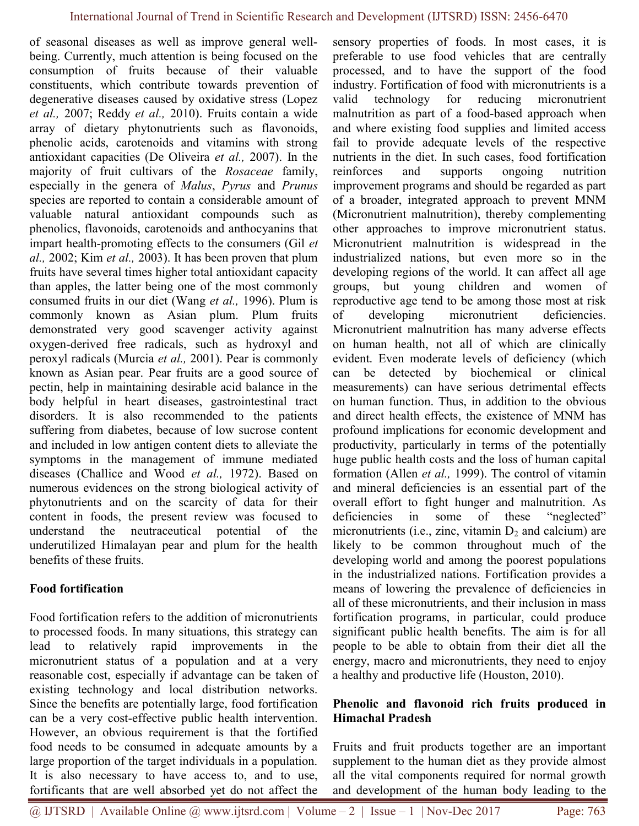of seasonal diseases as well as improve general wellbeing. Currently, much attention is being focused on the consumption of fruits because of their valuable constituents, which contribute towards prevention of degenerative diseases caused by oxidative stress (Lopez et al., 2007; Reddy et al., 2010). Fruits contain a wide array of dietary phytonutrients such as flavonoids, phenolic acids, carotenoids and vitamins with strong antioxidant capacities (De Oliveira et al., 2007). In the majority of fruit cultivars of the Rosaceae family, especially in the genera of Malus, Pyrus and Prunus species are reported to contain a considerable amount of valuable natural antioxidant compounds such as phenolics, flavonoids, carotenoids and anthocyanins that impart health-promoting effects to the consumers (Gil et al., 2002; Kim et al., 2003). It has been proven that plum fruits have several times higher total antioxidant capacity than apples, the latter being one of the most commonly consumed fruits in our diet (Wang et al., 1996). Plum is commonly known as Asian plum. Plum fruits demonstrated very good scavenger activity against oxygen-derived free radicals, such as hydroxyl and peroxyl radicals (Murcia et al., 2001). Pear is commonly known as Asian pear. Pear fruits are a good source of pectin, help in maintaining desirable acid balance in the body helpful in heart diseases, gastrointestinal tract disorders. It is also recommended to the patients suffering from diabetes, because of low sucrose content and included in low antigen content diets to alleviate the symptoms in the management of immune mediated diseases (Challice and Wood et al., 1972). Based on numerous evidences on the strong biological activity of phytonutrients and on the scarcity of data for their content in foods, the present review was focused to understand the neutraceutical potential of the underutilized Himalayan pear and plum for the health benefits of these fruits.

# Food fortification

Food fortification refers to the addition of micronutrients to processed foods. In many situations, this strategy can lead to relatively rapid improvements in the micronutrient status of a population and at a very reasonable cost, especially if advantage can be taken of existing technology and local distribution networks. Since the benefits are potentially large, food fortification can be a very cost-effective public health intervention. However, an obvious requirement is that the fortified food needs to be consumed in adequate amounts by a large proportion of the target individuals in a population. It is also necessary to have access to, and to use, fortificants that are well absorbed yet do not affect the

sensory properties of foods. In most cases, it is preferable to use food vehicles that are centrally processed, and to have the support of the food industry. Fortification of food with micronutrients is a valid technology for reducing micronutrient malnutrition as part of a food-based approach when and where existing food supplies and limited access fail to provide adequate levels of the respective nutrients in the diet. In such cases, food fortification reinforces and supports ongoing nutrition improvement programs and should be regarded as part of a broader, integrated approach to prevent MNM (Micronutrient malnutrition), thereby complementing other approaches to improve micronutrient status. Micronutrient malnutrition is widespread in the industrialized nations, but even more so in the developing regions of the world. It can affect all age groups, but young children and women of reproductive age tend to be among those most at risk of developing micronutrient deficiencies. Micronutrient malnutrition has many adverse effects on human health, not all of which are clinically evident. Even moderate levels of deficiency (which can be detected by biochemical or clinical measurements) can have serious detrimental effects on human function. Thus, in addition to the obvious and direct health effects, the existence of MNM has profound implications for economic development and productivity, particularly in terms of the potentially huge public health costs and the loss of human capital formation (Allen et al., 1999). The control of vitamin and mineral deficiencies is an essential part of the overall effort to fight hunger and malnutrition. As deficiencies in some of these "neglected" micronutrients (i.e., zinc, vitamin  $D_2$  and calcium) are likely to be common throughout much of the developing world and among the poorest populations in the industrialized nations. Fortification provides a means of lowering the prevalence of deficiencies in all of these micronutrients, and their inclusion in mass fortification programs, in particular, could produce significant public health benefits. The aim is for all people to be able to obtain from their diet all the energy, macro and micronutrients, they need to enjoy a healthy and productive life (Houston, 2010).

# Phenolic and flavonoid rich fruits produced in Himachal Pradesh

Fruits and fruit products together are an important supplement to the human diet as they provide almost all the vital components required for normal growth and development of the human body leading to the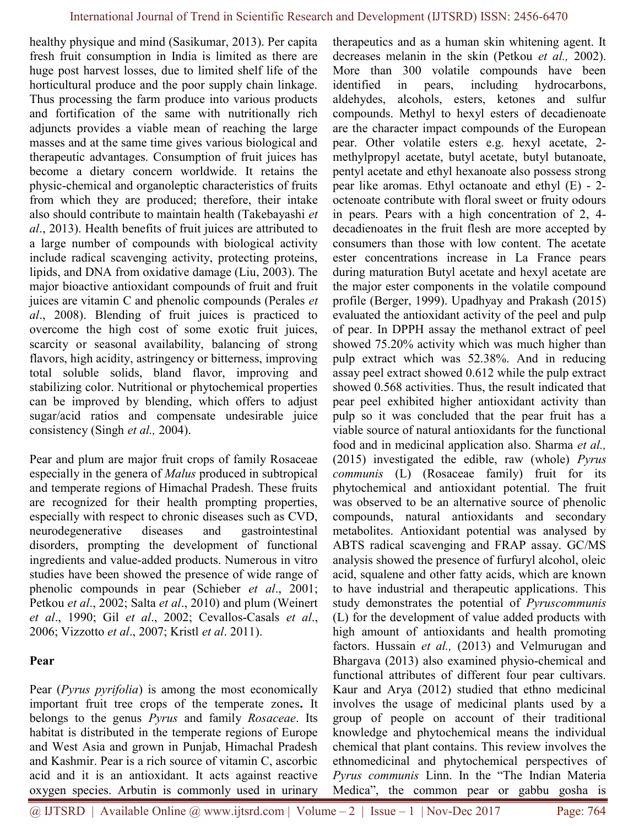healthy physique and mind (Sasikumar, 2013). Per capita fresh fruit consumption in India is limited as there are huge post harvest losses, due to limited shelf life of the horticultural produce and the poor supply chain linkage. Thus processing the farm produce into various products and fortification of the same with nutritionally rich adjuncts provides a viable mean of reaching the large masses and at the same time gives various biological and therapeutic advantages. Consumption of fruit juices has become a dietary concern worldwide. It retains the physic-chemical and organoleptic characteristics of fruits from which they are produced; therefore, their intake also should contribute to maintain health (Takebayashi et al., 2013). Health benefits of fruit juices are attributed to a large number of compounds with biological activity include radical scavenging activity, protecting proteins, lipids, and DNA from oxidative damage (Liu, 2003). The major bioactive antioxidant compounds of fruit and fruit juices are vitamin C and phenolic compounds (Perales et al., 2008). Blending of fruit juices is practiced to overcome the high cost of some exotic fruit juices, scarcity or seasonal availability, balancing of strong flavors, high acidity, astringency or bitterness, improving total soluble solids, bland flavor, improving and stabilizing color. Nutritional or phytochemical properties can be improved by blending, which offers to adjust sugar/acid ratios and compensate undesirable juice consistency (Singh et al., 2004).

Pear and plum are major fruit crops of family Rosaceae especially in the genera of *Malus* produced in subtropical and temperate regions of Himachal Pradesh. These fruits are recognized for their health prompting properties, especially with respect to chronic diseases such as CVD, neurodegenerative diseases and gastrointestinal disorders, prompting the development of functional ingredients and value-added products. Numerous in vitro studies have been showed the presence of wide range of phenolic compounds in pear (Schieber *et al.*, 2001; Petkou *et al.*, 2002; Salta *et al.*, 2010) and plum (Weinert et al., 1990; Gil et al., 2002; Cevallos-Casals et al., 2006; Vizzotto et al., 2007; Kristl et al. 2011).

#### Pear

Pear (Pyrus pyrifolia) is among the most economically important fruit tree crops of the temperate zones. It belongs to the genus *Pyrus* and family *Rosaceae*. Its habitat is distributed in the temperate regions of Europe and West Asia and grown in Punjab, Himachal Pradesh and Kashmir. Pear is a rich source of vitamin C, ascorbic acid and it is an antioxidant. It acts against reactive oxygen species. Arbutin is commonly used in urinary

therapeutics and as a human skin whitening agent. It decreases melanin in the skin (Petkou et al., 2002). More than 300 volatile compounds have been identified in pears, including hydrocarbons, aldehydes, alcohols, esters, ketones and sulfur compounds. Methyl to hexyl esters of decadienoate are the character impact compounds of the European pear. Other volatile esters e.g. hexyl acetate, 2 methylpropyl acetate, butyl acetate, butyl butanoate, pentyl acetate and ethyl hexanoate also possess strong pear like aromas. Ethyl octanoate and ethyl (E) - 2 octenoate contribute with floral sweet or fruity odours in pears. Pears with a high concentration of 2, 4 decadienoates in the fruit flesh are more accepted by consumers than those with low content. The acetate ester concentrations increase in La France pears during maturation Butyl acetate and hexyl acetate are the major ester components in the volatile compound profile (Berger, 1999). Upadhyay and Prakash (2015) evaluated the antioxidant activity of the peel and pulp of pear. In DPPH assay the methanol extract of peel showed 75.20% activity which was much higher than pulp extract which was 52.38%. And in reducing assay peel extract showed 0.612 while the pulp extract showed 0.568 activities. Thus, the result indicated that pear peel exhibited higher antioxidant activity than pulp so it was concluded that the pear fruit has a viable source of natural antioxidants for the functional food and in medicinal application also. Sharma et al., (2015) investigated the edible, raw (whole) Pyrus communis (L) (Rosaceae family) fruit for its phytochemical and antioxidant potential. The fruit was observed to be an alternative source of phenolic compounds, natural antioxidants and secondary metabolites. Antioxidant potential was analysed by ABTS radical scavenging and FRAP assay. GC/MS analysis showed the presence of furfuryl alcohol, oleic acid, squalene and other fatty acids, which are known to have industrial and therapeutic applications. This study demonstrates the potential of Pyruscommunis (L) for the development of value added products with high amount of antioxidants and health promoting factors. Hussain *et al.*, (2013) and Velmurugan and Bhargava (2013) also examined physio-chemical and functional attributes of different four pear cultivars. Kaur and Arya (2012) studied that ethno medicinal involves the usage of medicinal plants used by a group of people on account of their traditional knowledge and phytochemical means the individual chemical that plant contains. This review involves the ethnomedicinal and phytochemical perspectives of Pyrus communis Linn. In the "The Indian Materia Medica", the common pear or gabbu gosha is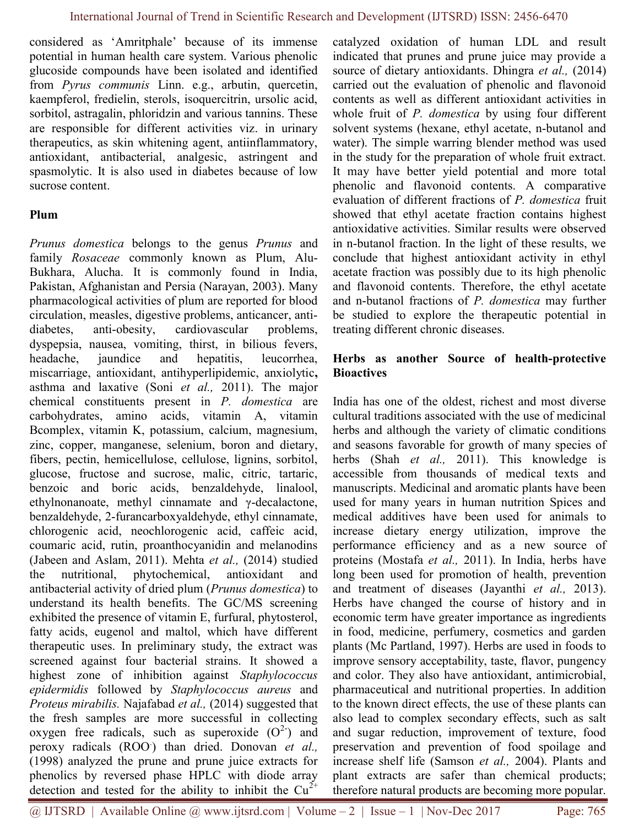considered as 'Amritphale' because of its immense potential in human health care system. Various phenolic glucoside compounds have been isolated and identified from Pyrus communis Linn. e.g., arbutin, quercetin, kaempferol, fredielin, sterols, isoquercitrin, ursolic acid, sorbitol, astragalin, phloridzin and various tannins. These are responsible for different activities viz. in urinary therapeutics, as skin whitening agent, antiinflammatory, antioxidant, antibacterial, analgesic, astringent and spasmolytic. It is also used in diabetes because of low sucrose content.

# Plum

Prunus domestica belongs to the genus Prunus and family Rosaceae commonly known as Plum, Alu-Bukhara, Alucha. It is commonly found in India, Pakistan, Afghanistan and Persia (Narayan, 2003). Many pharmacological activities of plum are reported for blood circulation, measles, digestive problems, anticancer, antidiabetes, anti-obesity, cardiovascular problems, dyspepsia, nausea, vomiting, thirst, in bilious fevers, headache, jaundice and hepatitis, leucorrhea, miscarriage, antioxidant, antihyperlipidemic, anxiolytic, asthma and laxative (Soni et al., 2011). The major chemical constituents present in P. domestica are carbohydrates, amino acids, vitamin A, vitamin Bcomplex, vitamin K, potassium, calcium, magnesium, zinc, copper, manganese, selenium, boron and dietary, fibers, pectin, hemicellulose, cellulose, lignins, sorbitol, glucose, fructose and sucrose, malic, citric, tartaric, benzoic and boric acids, benzaldehyde, linalool, ethylnonanoate, methyl cinnamate and γ-decalactone, benzaldehyde, 2-furancarboxyaldehyde, ethyl cinnamate, chlorogenic acid, neochlorogenic acid, caffeic acid, coumaric acid, rutin, proanthocyanidin and melanodins (Jabeen and Aslam, 2011). Mehta et al., (2014) studied the nutritional, phytochemical, antioxidant and antibacterial activity of dried plum (Prunus domestica) to understand its health benefits. The GC/MS screening exhibited the presence of vitamin E, furfural, phytosterol, fatty acids, eugenol and maltol, which have different therapeutic uses. In preliminary study, the extract was screened against four bacterial strains. It showed a highest zone of inhibition against Staphylococcus epidermidis followed by Staphylococcus aureus and Proteus mirabilis. Najafabad et al., (2014) suggested that the fresh samples are more successful in collecting oxygen free radicals, such as superoxide  $(O<sup>2</sup>)$  and peroxy radicals (ROO) than dried. Donovan et al., (1998) analyzed the prune and prune juice extracts for phenolics by reversed phase HPLC with diode array detection and tested for the ability to inhibit the  $Cu^{2+}$ 

catalyzed oxidation of human LDL and result indicated that prunes and prune juice may provide a source of dietary antioxidants. Dhingra et al., (2014) carried out the evaluation of phenolic and flavonoid contents as well as different antioxidant activities in whole fruit of *P. domestica* by using four different solvent systems (hexane, ethyl acetate, n-butanol and water). The simple warring blender method was used in the study for the preparation of whole fruit extract. It may have better yield potential and more total phenolic and flavonoid contents. A comparative evaluation of different fractions of P. domestica fruit showed that ethyl acetate fraction contains highest antioxidative activities. Similar results were observed in n-butanol fraction. In the light of these results, we conclude that highest antioxidant activity in ethyl acetate fraction was possibly due to its high phenolic and flavonoid contents. Therefore, the ethyl acetate and n-butanol fractions of P. domestica may further be studied to explore the therapeutic potential in treating different chronic diseases.

#### Herbs as another Source of health-protective **Bioactives**

India has one of the oldest, richest and most diverse cultural traditions associated with the use of medicinal herbs and although the variety of climatic conditions and seasons favorable for growth of many species of herbs (Shah et al., 2011). This knowledge is accessible from thousands of medical texts and manuscripts. Medicinal and aromatic plants have been used for many years in human nutrition Spices and medical additives have been used for animals to increase dietary energy utilization, improve the performance efficiency and as a new source of proteins (Mostafa et al., 2011). In India, herbs have long been used for promotion of health, prevention and treatment of diseases (Jayanthi et al., 2013). Herbs have changed the course of history and in economic term have greater importance as ingredients in food, medicine, perfumery, cosmetics and garden plants (Mc Partland, 1997). Herbs are used in foods to improve sensory acceptability, taste, flavor, pungency and color. They also have antioxidant, antimicrobial, pharmaceutical and nutritional properties. In addition to the known direct effects, the use of these plants can also lead to complex secondary effects, such as salt and sugar reduction, improvement of texture, food preservation and prevention of food spoilage and increase shelf life (Samson et al., 2004). Plants and plant extracts are safer than chemical products; therefore natural products are becoming more popular.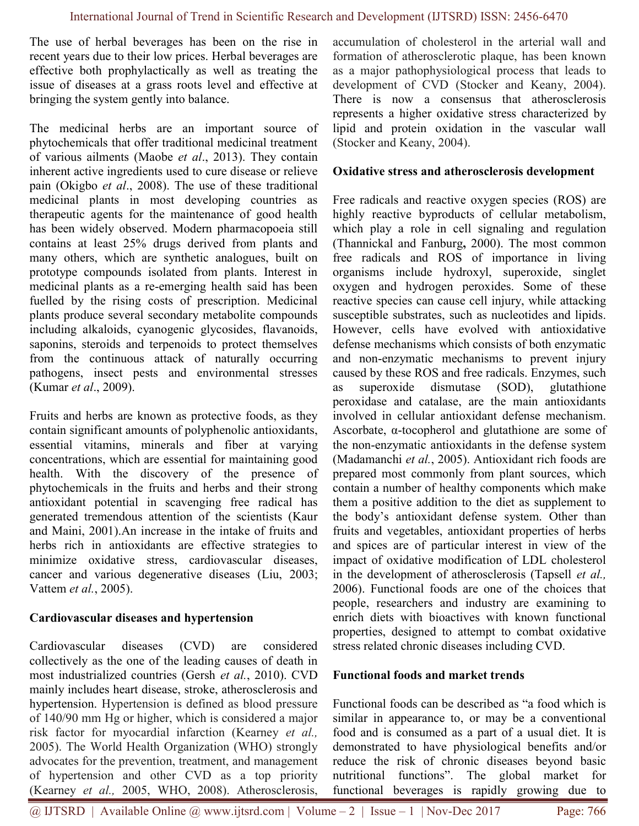The use of herbal beverages has been on the rise in recent years due to their low prices. Herbal beverages are effective both prophylactically as well as treating the issue of diseases at a grass roots level and effective at bringing the system gently into balance.

The medicinal herbs are an important source of phytochemicals that offer traditional medicinal treatment of various ailments (Maobe et al., 2013). They contain inherent active ingredients used to cure disease or relieve pain (Okigbo et al., 2008). The use of these traditional medicinal plants in most developing countries as therapeutic agents for the maintenance of good health has been widely observed. Modern pharmacopoeia still contains at least 25% drugs derived from plants and many others, which are synthetic analogues, built on prototype compounds isolated from plants. Interest in medicinal plants as a re-emerging health said has been fuelled by the rising costs of prescription. Medicinal plants produce several secondary metabolite compounds including alkaloids, cyanogenic glycosides, flavanoids, saponins, steroids and terpenoids to protect themselves from the continuous attack of naturally occurring pathogens, insect pests and environmental stresses (Kumar et al., 2009).

Fruits and herbs are known as protective foods, as they contain significant amounts of polyphenolic antioxidants, essential vitamins, minerals and fiber at varying concentrations, which are essential for maintaining good health. With the discovery of the presence of phytochemicals in the fruits and herbs and their strong antioxidant potential in scavenging free radical has generated tremendous attention of the scientists (Kaur and Maini, 2001).An increase in the intake of fruits and herbs rich in antioxidants are effective strategies to minimize oxidative stress, cardiovascular diseases, cancer and various degenerative diseases (Liu, 2003; Vattem *et al.*, 2005).

#### Cardiovascular diseases and hypertension

Cardiovascular diseases (CVD) are considered collectively as the one of the leading causes of death in most industrialized countries (Gersh et al., 2010). CVD mainly includes heart disease, stroke, atherosclerosis and hypertension. Hypertension is defined as blood pressure of 140/90 mm Hg or higher, which is considered a major risk factor for myocardial infarction (Kearney et al., 2005). The World Health Organization (WHO) strongly advocates for the prevention, treatment, and management of hypertension and other CVD as a top priority (Kearney et al., 2005, WHO, 2008). Atherosclerosis,

accumulation of cholesterol in the arterial wall and formation of atherosclerotic plaque, has been known as a major pathophysiological process that leads to development of CVD (Stocker and Keany, 2004). There is now a consensus that atherosclerosis represents a higher oxidative stress characterized by lipid and protein oxidation in the vascular wall (Stocker and Keany, 2004).

#### Oxidative stress and atherosclerosis development

Free radicals and reactive oxygen species (ROS) are highly reactive byproducts of cellular metabolism, which play a role in cell signaling and regulation (Thannickal and Fanburg, 2000). The most common free radicals and ROS of importance in living organisms include hydroxyl, superoxide, singlet oxygen and hydrogen peroxides. Some of these reactive species can cause cell injury, while attacking susceptible substrates, such as nucleotides and lipids. However, cells have evolved with antioxidative defense mechanisms which consists of both enzymatic and non-enzymatic mechanisms to prevent injury caused by these ROS and free radicals. Enzymes, such as superoxide dismutase (SOD), glutathione peroxidase and catalase, are the main antioxidants involved in cellular antioxidant defense mechanism. Ascorbate, α-tocopherol and glutathione are some of the non-enzymatic antioxidants in the defense system (Madamanchi et al., 2005). Antioxidant rich foods are prepared most commonly from plant sources, which contain a number of healthy components which make them a positive addition to the diet as supplement to the body's antioxidant defense system. Other than fruits and vegetables, antioxidant properties of herbs and spices are of particular interest in view of the impact of oxidative modification of LDL cholesterol in the development of atherosclerosis (Tapsell et al., 2006). Functional foods are one of the choices that people, researchers and industry are examining to enrich diets with bioactives with known functional properties, designed to attempt to combat oxidative stress related chronic diseases including CVD.

# Functional foods and market trends

Functional foods can be described as "a food which is similar in appearance to, or may be a conventional food and is consumed as a part of a usual diet. It is demonstrated to have physiological benefits and/or reduce the risk of chronic diseases beyond basic nutritional functions". The global market for functional beverages is rapidly growing due to

 $@$  IJTSRD | Available Online  $@$  www.ijtsrd.com | Volume – 2 | Issue – 1 | Nov-Dec 2017 Page: 766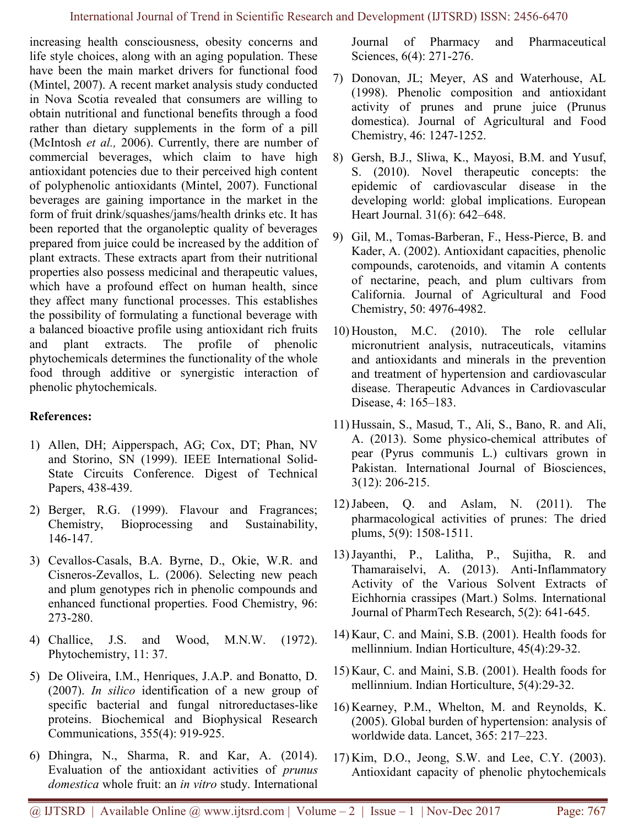increasing health consciousness, obesity concerns and life style choices, along with an aging population. These have been the main market drivers for functional food (Mintel, 2007). A recent market analysis study conducted in Nova Scotia revealed that consumers are willing to obtain nutritional and functional benefits through a food rather than dietary supplements in the form of a pill (McIntosh et al., 2006). Currently, there are number of commercial beverages, which claim to have high antioxidant potencies due to their perceived high content of polyphenolic antioxidants (Mintel, 2007). Functional beverages are gaining importance in the market in the form of fruit drink/squashes/jams/health drinks etc. It has been reported that the organoleptic quality of beverages prepared from juice could be increased by the addition of plant extracts. These extracts apart from their nutritional properties also possess medicinal and therapeutic values, which have a profound effect on human health, since they affect many functional processes. This establishes the possibility of formulating a functional beverage with a balanced bioactive profile using antioxidant rich fruits and plant extracts. The profile of phenolic phytochemicals determines the functionality of the whole food through additive or synergistic interaction of phenolic phytochemicals.

# References:

- 1) Allen, DH; Aipperspach, AG; Cox, DT; Phan, NV and Storino, SN (1999). IEEE International Solid-State Circuits Conference. Digest of Technical Papers, 438-439.
- 2) Berger, R.G. (1999). Flavour and Fragrances; Chemistry, Bioprocessing and Sustainability, 146‐147.
- 3) Cevallos-Casals, B.A. Byrne, D., Okie, W.R. and Cisneros-Zevallos, L. (2006). Selecting new peach and plum genotypes rich in phenolic compounds and enhanced functional properties. Food Chemistry, 96: 273-280.
- 4) Challice, J.S. and Wood, M.N.W. (1972). Phytochemistry, 11: 37.
- 5) De Oliveira, I.M., Henriques, J.A.P. and Bonatto, D. (2007). In silico identification of a new group of specific bacterial and fungal nitroreductases-like proteins. Biochemical and Biophysical Research Communications, 355(4): 919-925.
- 6) Dhingra, N., Sharma, R. and Kar, A. (2014). Evaluation of the antioxidant activities of prunus domestica whole fruit: an in vitro study. International

Journal of Pharmacy and Pharmaceutical Sciences, 6(4): 271-276.

- 7) Donovan, JL; Meyer, AS and Waterhouse, AL (1998). Phenolic composition and antioxidant activity of prunes and prune juice (Prunus domestica). Journal of Agricultural and Food Chemistry, 46: 1247-1252.
- 8) Gersh, B.J., Sliwa, K., Mayosi, B.M. and Yusuf, S. (2010). Novel therapeutic concepts: the epidemic of cardiovascular disease in the developing world: global implications. European Heart Journal. 31(6): 642–648.
- 9) Gil, M., Tomas-Barberan, F., Hess-Pierce, B. and Kader, A. (2002). Antioxidant capacities, phenolic compounds, carotenoids, and vitamin A contents of nectarine, peach, and plum cultivars from California. Journal of Agricultural and Food Chemistry, 50: 4976-4982.
- 10) Houston, M.C. (2010). The role cellular micronutrient analysis, nutraceuticals, vitamins and antioxidants and minerals in the prevention and treatment of hypertension and cardiovascular disease. Therapeutic Advances in Cardiovascular Disease, 4: 165–183.
- 11) Hussain, S., Masud, T., Ali, S., Bano, R. and Ali, A. (2013). Some physico-chemical attributes of pear (Pyrus communis L.) cultivars grown in Pakistan. International Journal of Biosciences, 3(12): 206-215.
- 12)Jabeen, Q. and Aslam, N. (2011). The pharmacological activities of prunes: The dried plums, 5(9): 1508-1511.
- 13)Jayanthi, P., Lalitha, P., Sujitha, R. and Thamaraiselvi, A. (2013). Anti-Inflammatory Activity of the Various Solvent Extracts of Eichhornia crassipes (Mart.) Solms. International Journal of PharmTech Research, 5(2): 641-645.
- 14) Kaur, C. and Maini, S.B. (2001). Health foods for mellinnium. Indian Horticulture, 45(4):29-32.
- 15) Kaur, C. and Maini, S.B. (2001). Health foods for mellinnium. Indian Horticulture, 5(4):29-32.
- 16) Kearney, P.M., Whelton, M. and Reynolds, K. (2005). Global burden of hypertension: analysis of worldwide data. Lancet, 365: 217–223.
- 17) Kim, D.O., Jeong, S.W. and Lee, C.Y. (2003). Antioxidant capacity of phenolic phytochemicals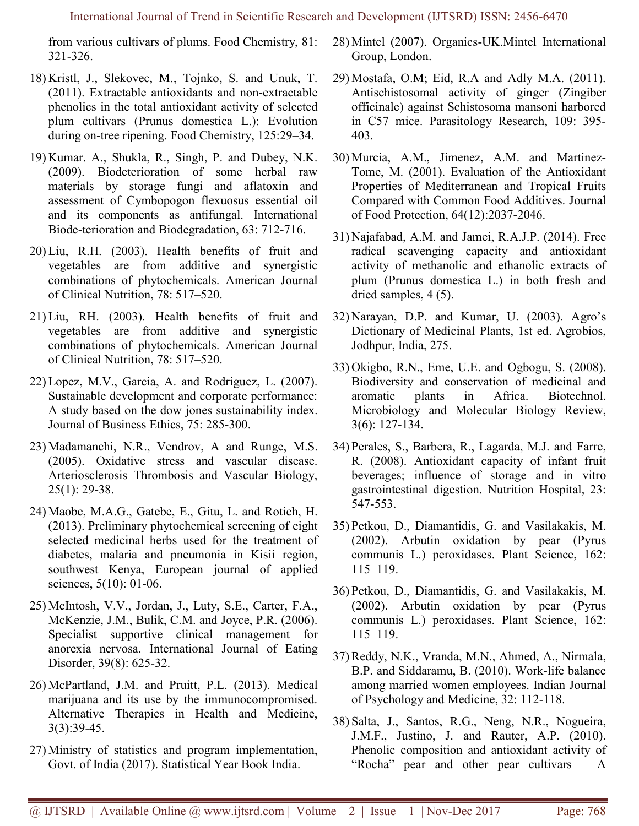from various cultivars of plums. Food Chemistry, 81: 321-326.

- 18) Kristl, J., Slekovec, M., Tojnko, S. and Unuk, T. (2011). Extractable antioxidants and non-extractable phenolics in the total antioxidant activity of selected plum cultivars (Prunus domestica L.): Evolution during on-tree ripening. Food Chemistry, 125:29–34.
- 19) Kumar. A., Shukla, R., Singh, P. and Dubey, N.K. (2009). Biodeterioration of some herbal raw materials by storage fungi and aflatoxin and assessment of Cymbopogon flexuosus essential oil and its components as antifungal. International Biode-terioration and Biodegradation, 63: 712-716.
- 20) Liu, R.H. (2003). Health benefits of fruit and vegetables are from additive and synergistic combinations of phytochemicals. American Journal of Clinical Nutrition, 78: 517–520.
- 21) Liu, RH. (2003). Health benefits of fruit and vegetables are from additive and synergistic combinations of phytochemicals. American Journal of Clinical Nutrition, 78: 517–520.
- 22) Lopez, M.V., Garcia, A. and Rodriguez, L. (2007). Sustainable development and corporate performance: A study based on the dow jones sustainability index. Journal of Business Ethics, 75: 285-300.
- 23) Madamanchi, N.R., Vendrov, A and Runge, M.S. (2005). Oxidative stress and vascular disease. Arteriosclerosis Thrombosis and Vascular Biology, 25(1): 29-38.
- 24) Maobe, M.A.G., Gatebe, E., Gitu, L. and Rotich, H. (2013). Preliminary phytochemical screening of eight selected medicinal herbs used for the treatment of diabetes, malaria and pneumonia in Kisii region, southwest Kenya, European journal of applied sciences, 5(10): 01-06.
- 25) McIntosh, V.V., Jordan, J., Luty, S.E., Carter, F.A., McKenzie, J.M., Bulik, C.M. and Joyce, P.R. (2006). Specialist supportive clinical management for anorexia nervosa. International Journal of Eating Disorder, 39(8): 625-32.
- 26) McPartland, J.M. and Pruitt, P.L. (2013). Medical marijuana and its use by the immunocompromised. Alternative Therapies in Health and Medicine, 3(3):39-45.
- 27) Ministry of statistics and program implementation, Govt. of India (2017). Statistical Year Book India.
- 28) Mintel (2007). Organics-UK.Mintel International Group, London.
- 29) Mostafa, O.M; Eid, R.A and Adly M.A. (2011). Antischistosomal activity of ginger (Zingiber officinale) against Schistosoma mansoni harbored in C57 mice. Parasitology Research, 109: 395- 403.
- 30) Murcia, A.M., Jimenez, A.M. and Martinez-Tome, M. (2001). Evaluation of the Antioxidant Properties of Mediterranean and Tropical Fruits Compared with Common Food Additives. Journal of Food Protection, 64(12):2037-2046.
- 31) Najafabad, A.M. and Jamei, R.A.J.P. (2014). Free radical scavenging capacity and antioxidant activity of methanolic and ethanolic extracts of plum (Prunus domestica L.) in both fresh and dried samples, 4 (5).
- 32) Narayan, D.P. and Kumar, U. (2003). Agro's Dictionary of Medicinal Plants, 1st ed. Agrobios, Jodhpur, India, 275.
- 33) Okigbo, R.N., Eme, U.E. and Ogbogu, S. (2008). Biodiversity and conservation of medicinal and aromatic plants in Africa. Biotechnol. Microbiology and Molecular Biology Review, 3(6): 127-134.
- 34) Perales, S., Barbera, R., Lagarda, M.J. and Farre, R. (2008). Antioxidant capacity of infant fruit beverages; influence of storage and in vitro gastrointestinal digestion. Nutrition Hospital, 23: 547-553.
- 35) Petkou, D., Diamantidis, G. and Vasilakakis, M. (2002). Arbutin oxidation by pear (Pyrus communis L.) peroxidases. Plant Science, 162: 115–119.
- 36) Petkou, D., Diamantidis, G. and Vasilakakis, M. (2002). Arbutin oxidation by pear (Pyrus communis L.) peroxidases. Plant Science, 162: 115–119.
- 37) Reddy, N.K., Vranda, M.N., Ahmed, A., Nirmala, B.P. and Siddaramu, B. (2010). Work-life balance among married women employees. Indian Journal of Psychology and Medicine, 32: 112-118.
- 38) Salta, J., Santos, R.G., Neng, N.R., Nogueira, J.M.F., Justino, J. and Rauter, A.P. (2010). Phenolic composition and antioxidant activity of "Rocha" pear and other pear cultivars – A